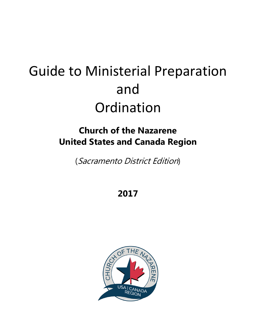# Guide to Ministerial Preparation and Ordination

## **Church of the Nazarene United States and Canada Region**

(Sacramento District Edition)

**2017**

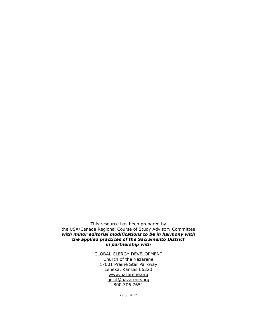This resource has been prepared by the USA/Canada Regional Course of Study Advisory Committee *with minor editorial modifications to be in harmony with the applied practices of the Sacramento District in partnership with*

> GLOBAL CLERGY DEVELOPMENT Church of the Nazarene 17001 Prairie Star Parkway Lenexa, Kansas 66220 [www.nazarene.org](http://www.nazarene.org/) [gecd@nazarene.org](mailto:gecd@nazarene.org) 800.306.7651

> > ver05.2017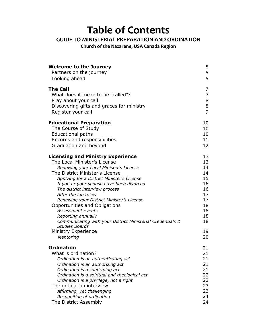## **Table of Contents**

## **GUIDE TO MINISTERIAL PREPARATION AND ORDINATION**

**Church of the Nazarene, USA Canada Region**

| <b>Welcome to the Journey</b>                                                                                                                                                                                                                                                                                                                                                                                                                                                                                                                                       | 5                                                                                      |
|---------------------------------------------------------------------------------------------------------------------------------------------------------------------------------------------------------------------------------------------------------------------------------------------------------------------------------------------------------------------------------------------------------------------------------------------------------------------------------------------------------------------------------------------------------------------|----------------------------------------------------------------------------------------|
| Partners on the journey                                                                                                                                                                                                                                                                                                                                                                                                                                                                                                                                             | 5                                                                                      |
| Looking ahead                                                                                                                                                                                                                                                                                                                                                                                                                                                                                                                                                       | 5                                                                                      |
| <b>The Call</b>                                                                                                                                                                                                                                                                                                                                                                                                                                                                                                                                                     | 7                                                                                      |
| What does it mean to be "called"?                                                                                                                                                                                                                                                                                                                                                                                                                                                                                                                                   | $\overline{7}$                                                                         |
| Pray about your call                                                                                                                                                                                                                                                                                                                                                                                                                                                                                                                                                | 8                                                                                      |
| Discovering gifts and graces for ministry                                                                                                                                                                                                                                                                                                                                                                                                                                                                                                                           | 8                                                                                      |
| Register your call                                                                                                                                                                                                                                                                                                                                                                                                                                                                                                                                                  | 9                                                                                      |
| <b>Educational Preparation</b>                                                                                                                                                                                                                                                                                                                                                                                                                                                                                                                                      | 10                                                                                     |
| The Course of Study                                                                                                                                                                                                                                                                                                                                                                                                                                                                                                                                                 | 10                                                                                     |
| <b>Educational paths</b>                                                                                                                                                                                                                                                                                                                                                                                                                                                                                                                                            | 10                                                                                     |
| Records and responsibilities                                                                                                                                                                                                                                                                                                                                                                                                                                                                                                                                        | 11                                                                                     |
| Graduation and beyond                                                                                                                                                                                                                                                                                                                                                                                                                                                                                                                                               | 12                                                                                     |
| <b>Licensing and Ministry Experience</b><br>The Local Minister's License<br>Renewing your Local Minister's License<br>The District Minister's License<br>Applying for a District Minister's License<br>If you or your spouse have been divorced<br>The district interview process<br>After the interview<br>Renewing your District Minister's License<br>Opportunities and Obligations<br>Assessment events<br>Reporting annually<br>Communicating with your District Ministerial Credentials &<br><b>Studies Boards</b><br><b>Ministry Experience</b><br>Mentoring | 13<br>13<br>14<br>14<br>15<br>16<br>16<br>17<br>17<br>18<br>18<br>18<br>18<br>19<br>20 |
| <b>Ordination</b>                                                                                                                                                                                                                                                                                                                                                                                                                                                                                                                                                   | 21                                                                                     |
| What is ordination?                                                                                                                                                                                                                                                                                                                                                                                                                                                                                                                                                 | 21                                                                                     |
| Ordination is an authenticating act                                                                                                                                                                                                                                                                                                                                                                                                                                                                                                                                 | 21                                                                                     |
| Ordination is an authorizing act                                                                                                                                                                                                                                                                                                                                                                                                                                                                                                                                    | 21                                                                                     |
| Ordination is a confirming act                                                                                                                                                                                                                                                                                                                                                                                                                                                                                                                                      | 21                                                                                     |
| Ordination is a spiritual and theological act                                                                                                                                                                                                                                                                                                                                                                                                                                                                                                                       | 22                                                                                     |
| Ordination is a privilege, not a right                                                                                                                                                                                                                                                                                                                                                                                                                                                                                                                              | 22                                                                                     |
| The ordination interview                                                                                                                                                                                                                                                                                                                                                                                                                                                                                                                                            | 23                                                                                     |
| Affirming, yet challenging                                                                                                                                                                                                                                                                                                                                                                                                                                                                                                                                          | 23                                                                                     |
| Recognition of ordination                                                                                                                                                                                                                                                                                                                                                                                                                                                                                                                                           | 24                                                                                     |
| The District Assembly                                                                                                                                                                                                                                                                                                                                                                                                                                                                                                                                               | 24                                                                                     |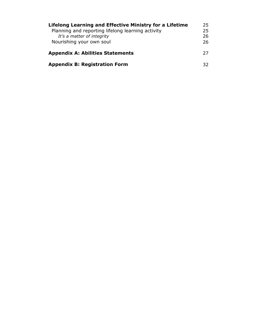| Lifelong Learning and Effective Ministry for a Lifetime |    |  |
|---------------------------------------------------------|----|--|
| Planning and reporting lifelong learning activity       |    |  |
| It's a matter of integrity                              |    |  |
| Nourishing your own soul                                | 26 |  |
| <b>Appendix A: Abilities Statements</b>                 |    |  |
| <b>Appendix B: Registration Form</b>                    | 32 |  |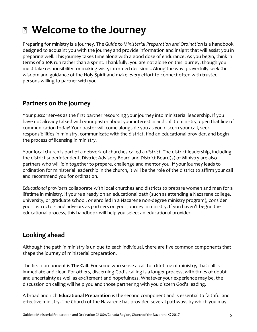## **Welcome to the Journey**

Preparing for ministry is a journey. The *Guide to Ministerial Preparation and Ordination* is a handbook designed to acquaint you with the journey and provide information and insight that will assist you in preparing well. This journey takes time along with a good dose of endurance. As you begin, think in terms of a 10K run rather than a sprint. Thankfully, you are not alone on this journey, though you must take responsibility for making wise, informed decisions. Along the way, prayerfully seek the wisdom and guidance of the Holy Spirit and make every effort to connect often with trusted persons willing to partner with you.

## **Partners on the journey**

Your *pastor* serves as the first partner resourcing your journey into ministerial leadership. If you have not already talked with your pastor about your interest in and call to ministry, open that line of communication today! Your pastor will come alongside you as you discern your call, seek responsibilities in ministry, communicate with the district, find an educational provider, and begin the process of licensing in ministry.

Your local church is part of a network of churches called a *district*. The district leadership, including the district superintendent, District Advisory Board and District Board(s) of Ministry are also partners who will join together to prepare, challenge and mentor you. If your journey leads to ordination for ministerial leadership in the church, it will be the role of the district to affirm your call and recommend you for ordination.

*Educational providers* collaborate with local churches and districts to prepare women and men for a lifetime in ministry. If you're already on an educational path (such as attending a Nazarene college, university, or graduate school, or enrolled in a Nazarene non-degree ministry program), consider your instructors and advisors as partners on your journey in ministry. If you haven't begun the educational process, this handbook will help you select an educational provider.

## **Looking ahead**

Although the path in ministry is unique to each individual, there are five common components that shape the journey of ministerial preparation.

The first component is **The Call**. For some who sense a call to a lifetime of ministry, that call is immediate and clear. For others, discerning God's calling is a longer process, with times of doubt and uncertainty as well as excitement and hopefulness. Whatever your experience may be, the discussion on calling will help you and those partnering with you discern God's leading.

A broad and rich **Educational Preparation** is the second component and is essential to faithful and effective ministry. The Church of the Nazarene has provided several pathways by which you may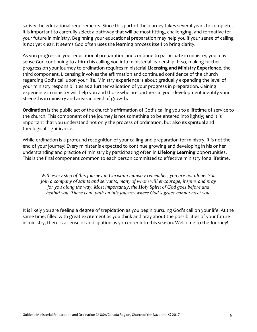satisfy the educational requirements. Since this part of the journey takes several years to complete, it is important to carefully select a pathway that will be most fitting, challenging, and formative for your future in ministry. Beginning your educational preparation may help you if your sense of calling is not yet clear. It seems God often uses the learning process itself to bring clarity.

As you progress in your educational preparation and continue to participate in ministry, you may sense God continuing to affirm his calling you into ministerial leadership. If so, making further progress on your journey to ordination requires ministerial **Licensing and Ministry Experience**, the third component. Licensing involves the affirmation and continued confidence of the church regarding God's call upon your life. Ministry experience is about gradually expanding the level of your ministry responsibilities as a further validation of your progress in preparation. Gaining experience in ministry will help you and those who are partners in your development identify your strengths in ministry and areas in need of growth.

**Ordination** is the public act of the church's affirmation of God's calling you to a lifetime of service to the church. This component of the journey is not something to be entered into lightly; and it is important that you understand not only the process of ordination, but also its spiritual and theological significance.

While ordination is a profound recognition of your calling and preparation for ministry, it is not the end of your journey! Every minister is expected to continue growing and developing in his or her understanding and practice of ministry by participating often in **Lifelong Learning** opportunities. This is the final component common to each person committed to effective ministry for a lifetime.

*With every step of this journey in Christian ministry remember, you are not alone. You join a company of saints and servants, many of whom will encourage, inspire and pray for you along the way. Most importantly, the Holy Spirit of God goes before and behind you. There is no path on this journey where God's grace cannot meet you.*

It is likely you are feeling a degree of trepidation as you begin pursuing God's call on your life. At the same time, filled with great excitement as you think and pray about the possibilities of your future in ministry, there is a sense of anticipation as you enter into this season. Welcome to the Journey!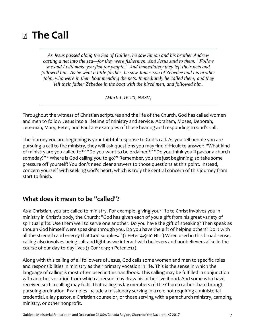## **The Call**

*As Jesus passed along the Sea of Galilee, he saw Simon and his brother Andrew casting a net into the sea—for they were fishermen. And Jesus said to them, "Follow me and I will make you fish for people." And immediately they left their nets and followed him. As he went a little farther, he saw James son of Zebedee and his brother John, who were in their boat mending the nets. Immediately he called them; and they left their father Zebedee in the boat with the hired men, and followed him.*

*(Mark 1:16-20, NRSV)*

Throughout the witness of Christian scriptures and the life of the Church, God has called women and men to follow Jesus into a lifetime of ministry and service. Abraham, Moses, Deborah, Jeremiah, Mary, Peter, and Paul are examples of those hearing and responding to God's call.

The journey you are beginning is your faithful response to God's call. As you tell people you are pursuing a call to the ministry, they will ask questions you may find difficult to answer: "What kind of ministry are you called to?" "Do you want to be ordained?" "Do you think you'll pastor a church someday?" "Where is God calling you to go?" Remember, you are just beginning; so take some pressure off yourself! You don't need clear answers to those questions at this point. Instead, concern yourself with seeking God's heart, which is truly the central concern of this journey from start to finish.

## **What does it mean to be "called"?**

As a Christian, you are called to ministry. For example, giving your life to Christ involves you in ministry in Christ's body, the Church: "God has given each of you a gift from his great variety of spiritual gifts. Use them well to serve one another. Do you have the gift of speaking? Then speak as though God himself were speaking through you. Do you have the gift of helping others? Do it with all the strength and energy that God supplies." (1 Peter 4:9-10 NLT) When used in this broad sense, calling also involves being salt and light as we interact with believers and nonbelievers alike in the course of our day-to-day lives (1 Cor 10:31; 1 Peter 2:12).

Along with this calling of all followers of Jesus, God calls some women and men to specific roles and responsibilities in ministry as their primary vocation in life. This is the sense in which the language of calling is most often used in this handbook. This calling may be fulfilled in conjunction with another vocation from which a person may draw his or her livelihood. And some who have received such a calling may fulfill that calling as lay members of the Church rather than through pursuing ordination. Examples include a missionary serving in a role not requiring a ministerial credential, a lay pastor, a Christian counselor, or those serving with a parachurch ministry, camping ministry, or other nonprofit.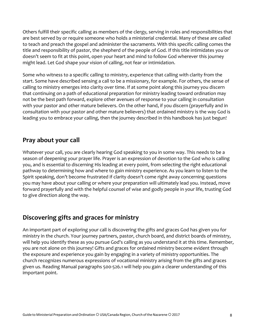Others fulfill their specific calling as members of the clergy, serving in roles and responsibilities that are best served by or require someone who holds a ministerial credential. Many of these are called to teach and preach the gospel and administer the sacraments. With this specific calling comes the title and responsibility of pastor, the shepherd of the people of God. If this title intimidates you or doesn't seem to fit at this point, open your heart and mind to follow God wherever this journey might lead. Let God shape your vision of calling, not fear or intimidation.

Some who witness to a specific calling to ministry, experience that calling with clarity from the start. Some have described sensing a call to be a missionary, for example. For others, the sense of calling to ministry emerges into clarity over time. If at some point along this journey you discern that continuing on a path of educational preparation for ministry leading toward ordination may not be the best path forward, explore other avenues of response to your calling in consultation with your pastor and other mature believers. On the other hand, if you discern (prayerfully and in consultation with your pastor and other mature believers) that ordained ministry is the way God is leading you to embrace your calling, then the journey described in this handbook has just begun!

## **Pray about your call**

Whatever your call, you are clearly hearing God speaking to you in some way. This needs to be a season of deepening your prayer life. Prayer is an expression of devotion to the God who is calling you, and is essential to discerning His leading at every point, from selecting the right educational pathway to determining how and where to gain ministry experience. As you learn to listen to the Spirit speaking, don't become frustrated if clarity doesn't come right away concerning questions you may have about your calling or where your preparation will ultimately lead you. Instead, move forward prayerfully and with the helpful counsel of wise and godly people in your life, trusting God to give direction along the way.

## **Discovering gifts and graces for ministry**

An important part of exploring your call is discovering the gifts and graces God has given you for ministry in the church. Your journey partners, pastor, church board, and district boards of ministry, will help you identify these as you pursue God's calling as you understand it at this time. Remember, you are not alone on this journey! Gifts and graces for ordained ministry become evident through the exposure and experience you gain by engaging in a variety of ministry opportunities. The church recognizes numerous expressions of vocational ministry arising from the gifts and graces given us. Reading Manual paragraphs 500-526.1 will help you gain a clearer understanding of this important point.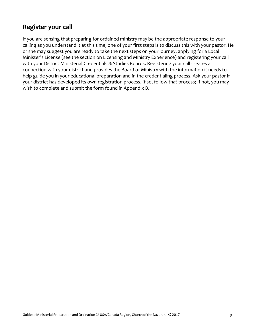## **Register your call**

If you are sensing that preparing for ordained ministry may be the appropriate response to your calling as you understand it at this time, one of your first steps is to discuss this with your pastor. He or she may suggest you are ready to take the next steps on your journey: applying for a Local Minister's License (see the section on Licensing and Ministry Experience) and registering your call with your District Ministerial Credentials & Studies Boards. Registering your call creates a connection with your district and provides the Board of Ministry with the information it needs to help guide you in your educational preparation and in the credentialing process. Ask your pastor if your district has developed its own registration process. If so, follow that process; If not, you may wish to complete and submit the form found in Appendix B.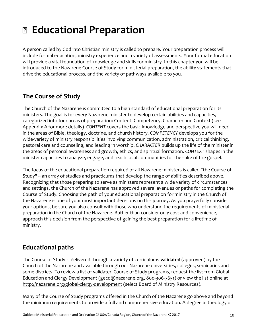## **Educational Preparation**

A person called by God into Christian ministry is called to prepare. Your preparation process will include formal education, ministry experience and a variety of assessments. Your formal education will provide a vital foundation of knowledge and skills for ministry. In this chapter you will be introduced to the Nazarene Course of Study for ministerial preparation, the ability statements that drive the educational process, and the variety of pathways available to you.

## **The Course of Study**

The Church of the Nazarene is committed to a high standard of educational preparation for its ministers. The goal is for every Nazarene minister to develop certain abilities and capacities, categorized into four areas of preparation: Content, Competency, Character and Context (see Appendix A for more details). *CONTENT* covers the basic knowledge and perspective you will need in the areas of Bible, theology, doctrine, and church history. *COMPETENCY* develops you for the wide-variety of ministry responsibilities involving communication, administration, critical thinking, pastoral care and counseling, and leading in worship. *CHARACTER* builds up the life of the minister in the areas of personal awareness and growth, ethics, and spiritual formation. *CONTEXT* shapes in the minister capacities to analyze, engage, and reach local communities for the sake of the gospel.

The focus of the educational preparation required of all Nazarene ministers is called "the Course of Study" -- an array of studies and practicums that develop the range of abilities described above. Recognizing that those preparing to serve as ministers represent a wide variety of circumstances and settings, the Church of the Nazarene has approved several avenues or paths for completing the Course of Study. Choosing the path of your educational preparation for ministry in the Church of the Nazarene is one of your most important decisions on this journey. As you prayerfully consider your options, be sure you also consult with those who understand the requirements of ministerial preparation in the Church of the Nazarene. Rather than consider only cost and convenience, approach this decision from the perspective of gaining the best preparation for a lifetime of ministry.

## **Educational paths**

The Course of Study is delivered through a variety of curriculums **validated** (approved) by the Church of the Nazarene and available through our Nazarene universities, colleges, seminaries and some districts. To review a list of validated Course of Study programs, request the list from Global Education and Clergy Development [\(gecd@nazarene.org, 8](mailto:gecd@nazarene.org)00-306-7651) or view the list online at <http://nazarene.org/global-clergy-development> (select Board of Ministry Resources).

Many of the Course of Study programs offered in the Church of the Nazarene go above and beyond the minimum requirements to provide a full and comprehensive education. A degree in theology or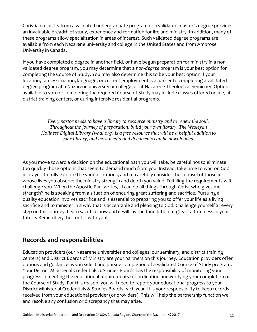Christian ministry from a validated undergraduate program or a validated master's degree provides an invaluable breadth of study, experience and formation for life and ministry. In addition, many of these programs allow specialization in areas of interest. Such validated degree programs are available from each Nazarene university and college in the United States and from Ambrose University in Canada.

If you have completed a degree in another field, or have begun preparation for ministry in a nonvalidated degree program, you may determine that a *non-degree* program is your best option for completing the Course of Study. You may also determine this to be your best option if your location, family situation, language, or current employment is a barrier to completing a validated degree program at a Nazarene university or college, or at Nazarene Theological Seminary. Options available to you for completing the required Course of Study may include classes offered online, at district training centers, or during intensive residential programs.

*Every pastor needs to have a library to resource ministry and to renew the soul. Throughout the journey of preparation, build your own library. The Wesleyan Holiness Digital Library [\(whdl.org\)](http://whdl.org/) is a free resource that will be a helpful addition to your library, and most media and documents can be downloaded.*

As you move toward a decision on the educational path you will take, be careful not to eliminate too quickly those options that seem to demand much from you. Instead, take time to wait on God in prayer, to fully explore the various options, and to carefully consider the counsel of those in whose lives you observe the ministry strength and depth you value. Fulfilling the requirements will challenge you. When the Apostle Paul writes, "I can do all things through Christ who gives me strength" he is speaking from a situation of enduring great suffering and sacrifice. Pursuing a quality education involves sacrifice and is essential to preparing you to offer your life as a living sacrifice and to minister in a way that is acceptable and pleasing to God. Challenge yourself at every step on this journey. Learn sacrifice now and it will lay the foundation of great faithfulness in your future. Remember, the Lord is with you!

## **Records and responsibilities**

Education providers (our Nazarene universities and colleges, our seminary, and district training centers) and District Boards of Ministry are your partners on this journey. Education providers offer options and guidance as you select and pursue completion of a validated Course of Study program. Your District Ministerial Credentials & Studies Boards has the responsibility of monitoring your progress in meeting the educational requirements for ordination and verifying your completion of the Course of Study. For this reason, you will need to report your educational progress to your District Ministerial Credentials & Studies Boards each year. It is your responsibility to keep records received from your educational provider (or providers). This will help the partnership function well and resolve any confusion or discrepancy that may arise.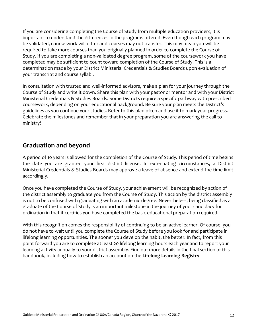If you are considering completing the Course of Study from multiple education providers, it is important to understand the differences in the programs offered. Even though each program may be validated, course work will differ and courses may not transfer. This may mean you will be required to take more courses than you originally planned in order to complete the Course of Study. If you are completing a non-validated degree program, some of the coursework you have completed may be sufficient to count toward completion of the Course of Study. This is a determination made by your District Ministerial Credentials & Studies Boards upon evaluation of your transcript and course syllabi.

In consultation with trusted and well-informed advisors, make a plan for your journey through the Course of Study and write it down. Share this plan with your pastor or mentor and with your District Ministerial Credentials & Studies Boards. Some Districts require a specific pathway with prescribed coursework, depending on your educational background. Be sure your plan meets the District's guidelines as you continue your studies. Refer to this plan often and use it to mark your progress. Celebrate the milestones and remember that in your preparation you are answering the call to ministry!

## **Graduation and beyond**

A period of 10 years is allowed for the completion of the Course of Study. This period of time begins the date you are granted your first district license. In extenuating circumstances, a District Ministerial Credentials & Studies Boards may approve a leave of absence and extend the time limit accordingly.

Once you have completed the Course of Study, your achievement will be recognized by action of the district assembly to graduate you from the Course of Study. This action by the district assembly is not to be confused with graduating with an academic degree. Nevertheless, being classified as a graduate of the Course of Study is an important milestone in the journey of your candidacy for ordination in that it certifies you have completed the basic educational preparation required.

With this recognition comes the responsibility of continuing to be an active learner. Of course, you do not have to wait until you complete the Course of Study before you look for and participate in lifelong learning opportunities. The sooner you develop the habit, the better. In fact, from this point forward you are to complete at least 20 lifelong learning hours each year and to report your learning activity annually to your district assembly. Find out more details in the final section of this handbook, including how to establish an account on the **Lifelong Learning Registry**.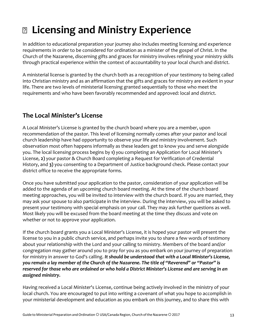## **Licensing and Ministry Experience**

In addition to educational preparation your journey also includes meeting licensing and experience requirements in order to be considered for ordination as a minister of the gospel of Christ. In the Church of the Nazarene, discerning gifts and graces for ministry involves refining your ministry skills through practical experience within the context of accountability to your local church and district.

A ministerial license is granted by the church both as a recognition of your testimony to being called into Christian ministry and as an affirmation that the gifts and graces for ministry are evident in your life. There are two levels of ministerial licensing granted sequentially to those who meet the requirements and who have been favorably recommended and approved: local and district.

## **The Local Minister's License**

A Local Minister's License is granted by the church board where you are a member, upon recommendation of the pastor. This level of licensing normally comes after your pastor and local church leadership have had opportunity to observe your life and ministry involvement. Such observation most often happens informally as these leaders get to know you and serve alongside you. The local licensing process begins by **1)** you completing an Application for Local Minister's License, **2)** your pastor & Church Board completing a Request for Verification of Credential History, and **3)** you consenting to a Department of Justice background check. Please contact your district office to receive the appropriate forms.

Once you have submitted your application to the pastor, consideration of your application will be added to the agenda of an upcoming church board meeting. At the time of the church board meeting approaches, you will be invited to interview with the church board. If you are married, they may ask your spouse to also participate in the interview. During the interview, you will be asked to present your testimony with special emphasis on your call. They may ask further questions as well. Most likely you will be excused from the board meeting at the time they discuss and vote on whether or not to approve your application.

If the church board grants you a Local Minister's License, it is hoped your pastor will present the license to you in a public church service, and perhaps invite you to share a few words of testimony about your relationship with the Lord and your calling to ministry. Members of the board and/or congregation may gather around you to pray for you as you embark on your journey of preparation for ministry in answer to God's calling. *It should be understood that with a Local Minister's License, you remain a lay member of the Church of the Nazarene. The title of "Reverend" or "Pastor" is reserved for those who are ordained or who hold a District Minister's License and are serving in an assigned ministry.*

Having received a Local Minister's License, continue being actively involved in the ministry of your local church. You are encouraged to put into writing a covenant of what you hope to accomplish in your ministerial development and education as you embark on this journey, and to share this with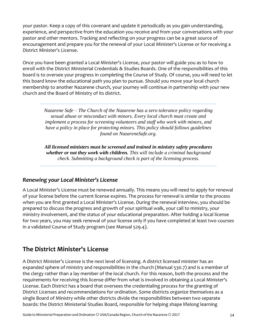your pastor. Keep a copy of this covenant and update it periodically as you gain understanding, experience, and perspective from the education you receive and from your conversations with your pastor and other mentors. Tracking and reflecting on your progress can be a great source of encouragement and prepare you for the renewal of your Local Minister's License or for receiving a District Minister's License.

Once you have been granted a Local Minister's License, your pastor will guide you as to how to enroll with the District Ministerial Credentials & Studies Boards. One of the responsibilities of this board is to oversee your progress in completing the Course of Study. Of course, you will need to let this board know the educational path you plan to pursue. Should you move your local church membership to another Nazarene church, your journey will continue in partnership with your new church and the Board of Ministry of its district.

> *Nazarene Safe – The Church of the Nazarene has a zero tolerance policy regarding sexual abuse or misconduct with minors. Every local church must create and implement a process for screening volunteers and staff who work with minors, and have a policy in place for protecting minors. This policy should follows guidelines found on NazareneSafe.org.*

> *All licensed ministers must be screened and trained in ministry safety procedures whether or not they work with children. This will include a criminal background check. Submitting a background check is part of the licensing process.*

### *Renewing your Local Minister's License*

A Local Minister's License must be renewed annually. This means you will need to apply for renewal of your license before the current license expires. The process for renewal is similar to the process when you are first granted a Local Minister's License. During the renewal interview, you should be prepared to discuss the progress and growth of your spiritual walk, your call to ministry, your ministry involvement, and the status of your educational preparation. After holding a local license for two years, you may seek renewal of your license only if you have completed at least two courses in a validated Course of Study program (see Manual 529.4).

## **The District Minister's License**

A District Minister's License is the next level of licensing. A district licensed minister has an expanded sphere of ministry and responsibilities in the church (Manual 530.7) and is a member of the clergy rather than a lay member of the local church. For this reason, both the process and the requirements for receiving this license differ from what is involved in obtaining a Local Minister's License. Each District has a board that oversees the credentialing process for the granting of District Licenses and recommendations for ordination. Some districts organize themselves as a single Board of Ministry while other districts divide the responsibilities between two separate boards: the District Ministerial Studies Board, responsible for helping shape lifelong learning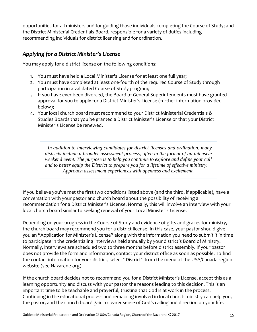opportunities for all ministers and for guiding those individuals completing the Course of Study; and the District Ministerial Credentials Board, responsible for a variety of duties including recommending individuals for district licensing and for ordination.

### *Applying for a District Minister's License*

You may apply for a district license on the following conditions:

- 1. You must have held a Local Minister's License for at least one full year;
- 2. You must have completed at least one-fourth of the required Course of Study through participation in a validated Course of Study program;
- 3. If you have ever been divorced, the Board of General Superintendents must have granted approval for you to apply for a District Minister's License (further information provided below);
- 4. Your local church board must recommend to your District Ministerial Credentials & Studies Boards that you be granted a District Minister's License or that your District Minister's License be renewed.

*In addition to interviewing candidates for district licenses and ordination, many districts include a broader assessment process, often in the format of an intensive weekend event. The purpose is to help you continue to explore and define your call and to better equip the District to prepare you for a lifetime of effective ministry. Approach assessment experiences with openness and excitement.*

If you believe you've met the first two conditions listed above (and the third, if applicable), have a conversation with your pastor and church board about the possibility of receiving a recommendation for a District Minister's License. Normally, this will involve an interview with your local church board similar to seeking renewal of your Local Minister's License.

Depending on your progress in the Course of Study and evidence of gifts and graces for ministry, the church board may recommend you for a district license. In this case, your pastor should give you an "Application for Minister's License" along with the information you need to submit it in time to participate in the credentialing interviews held annually by your district's Board of Ministry. Normally, interviews are scheduled two to three months before district assembly. If your pastor does not provide the form and information, contact your district office as soon as possible. To find the contact information for your district, select "District" from the menu of the USA/Canada region website (see Nazarene.org).

If the church board decides not to recommend you for a District Minister's License, accept this as a learning opportunity and discuss with your pastor the reasons leading to this decision. This is an important time to be teachable and prayerful, trusting that God is at work in the process. Continuing in the educational process and remaining involved in local church ministry can help you, the pastor, and the church board gain a clearer sense of God's calling and direction on your life.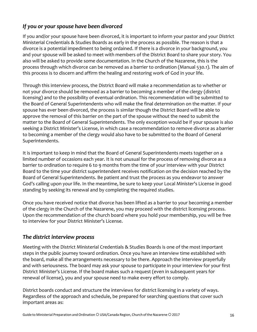## *If you or your spouse have been divorced*

If you and/or your spouse have been divorced, it is important to inform your pastor and your District Ministerial Credentials & Studies Boards as early in the process as possible. The reason is that a divorce is a potential impediment to being ordained. If there is a divorce in your background, you and your spouse will be asked to meet with members of the District Board to share your story. You also will be asked to provide some documentation. In the Church of the Nazarene, this is the process through which divorce can be removed as a barrier to ordination (Manual 530.1). The aim of this process is to discern and affirm the healing and restoring work of God in your life.

Through this interview process, the District Board will make a recommendation as to whether or not your divorce should be removed as a barrier to becoming a member of the clergy (district licensing) and to the possibility of eventual ordination. This recommendation will be submitted to the Board of General Superintendents who will make the final determination on the matter. If your spouse has ever been divorced, the process is similar though the District Board will be able to approve the removal of this barrier on the part of the spouse without the need to submit the matter to the Board of General Superintendents. The only exception would be if your spouse is also seeking a District Minister's License, in which case a recommendation to remove divorce as abarrier to becoming a member of the clergy would also have to be submitted to the Board of General Superintendents.

It is important to keep in mind that the Board of General Superintendents meets together on a limited number of occasions each year. It is not unusual for the process of removing divorce as a barrier to ordination to require 6 to 9 months from the time of your interview with your District Board to the time your district superintendent receives notification on the decision reached by the Board of General Superintendents. Be patient and trust the process as you endeavor to answer God's calling upon your life. In the meantime, be sure to keep your Local Minister's License in good standing by seeking its renewal and by completing the required studies.

Once you have received notice that divorce has been lifted as a barrier to your becoming a member of the clergy in the Church of the Nazarene, you may proceed with the district licensing process. Upon the recommendation of the church board where you hold your membership, you will be free to interview for your District Minister's License.

### *The district interview process*

Meeting with the District Ministerial Credentials & Studies Boards is one of the most important steps in the public journey toward ordination. Once you have an interview time established with the board, make all the arrangements necessary to be there. Approach the interview prayerfully and with seriousness. The board may ask your spouse to participate in your interview for your first District Minister's License. If the board makes such a request (even in subsequent years for renewal of license), you and your spouse need to make every effort to comply.

District boards conduct and structure the interviews for district licensing in a variety of ways. Regardless of the approach and schedule, be prepared for searching questions that cover such important areas as: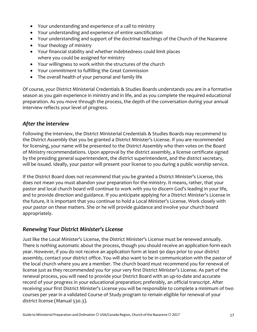- Your understanding and experience of a call to ministry
- Your understanding and experience of entire sanctification
- Your understanding and support of the doctrinal teachings of the Church of the Nazarene
- Your theology of ministry
- Your financial stability and whether indebtedness could limit places where you could be assigned for ministry
- Your willingness to work within the structures of the church
- Your commitment to fulfilling the Great Commission
- The overall health of your personal and family life

Of course, your District Ministerial Credentials & Studies Boards understands you are in a formative season as you gain experience in ministry and in life, and as you complete the required educational preparation. As you move through the process, the depth of the conversation during your annual interview reflects your level of progress.

### *After the interview*

Following the interview, the District Ministerial Credentials & Studies Boards may recommend to the District Assembly that you be granted a District Minister's License. If you are recommended for licensing, your name will be presented to the District Assembly who then votes on the Board of Ministry recommendations. Upon approval by the district assembly, a license certificate signed by the presiding general superintendent, the district superintendent, and the district secretary, will be issued. Ideally, your pastor will present your license to you during a public worship service.

If the District Board does not recommend that you be granted a District Minister's License, this does not mean you must abandon your preparation for the ministry. It means, rather, that your pastor and local church board will continue to work with you to discern God's leading in your life, and to provide direction and guidance. If you anticipate applying for a District Minister's License in the future, it is important that you continue to hold a Local Minister's License. Work closely with your pastor on these matters. She or he will provide guidance and involve your church board appropriately.

### *Renewing Your District Minister's License*

Just like the Local Minister's License, the District Minister's License must be renewed annually. There is nothing automatic about the process, though you should receive an application form each year. However, if you do not receive an application form at least 90 days prior to your district assembly, contact your district office. You will also want to be in communication with the pastor of the local church where you are a member. The church board must recommend you for renewal of license just as they recommended you for your very first District Minister's License. As part of the renewal process, you will need to provide your District Board with an up-to-date and accurate record of your progress in your educational preparation; preferably, an official transcript. After receiving your first District Minister's License you will be responsible to complete a minimum of two courses per year in a validated Course of Study program to remain eligible for renewal of your district license (Manual 530.3).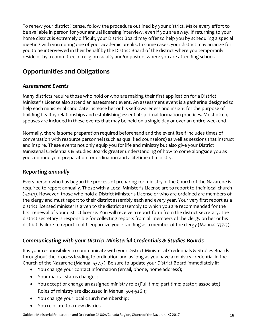To renew your district license, follow the procedure outlined by your district. Make every effort to be available in person for your annual licensing interview, even if you are away. If returning to your home district is extremely difficult, your District Board may offer to help you by scheduling a special meeting with you during one of your academic breaks. In some cases, your district may arrange for you to be interviewed in their behalf by the District Board of the district where you temporarily reside or by a committee of religion faculty and/or pastors where you are attending school.

## **Opportunities and Obligations**

## *Assessment Events*

Many districts require those who hold or who are making their first application for a District Minister's License also attend an assessment event. An assessment event is a gathering designed to help each ministerial candidate increase her or his self-awareness and insight for the purpose of building healthy relationships and establishing essential spiritual formation practices. Most often, spouses are included in these events that may be held on a single day or over an entire weekend.

Normally, there is some preparation required beforehand and the event itself includes times of conversation with resource personnel (such as qualified counselors) as well as sessions that instruct and inspire. These events not only equip you for life and ministry but also give your District Ministerial Credentials & Studies Boards greater understanding of how to come alongside you as you continue your preparation for ordination and a lifetime of ministry.

## *Reporting annually*

Every person who has begun the process of preparing for ministry in the Church of the Nazarene is required to report annually. Those with a Local Minister's License are to report to their local church (529.1). However, those who hold a District Minister's License or who are ordained are members of the clergy and must report to their district assembly each and every year. Your very first report as a district licensed minister is given to the district assembly to which you are recommended for the first renewal of your district license. You will receive a report form from the district secretary. The district secretary is responsible for collecting reports from all members of the clergy on her or his district. Failure to report could jeopardize your standing as a member of the clergy (Manual 537.3).

## *Communicating with your District Ministerial Credentials & Studies Boards*

It is your responsibility to communicate with your District Ministerial Credentials & Studies Boards throughout the process leading to ordination and as long as you have a ministry credential in the Church of the Nazarene (Manual 537.3). Be sure to update your District Board immediately if:

- You change your contact information (email, phone, home address);
- Your marital status changes;
- You accept or change an assigned ministry role (Full time; part time; pastor; associate) Roles of ministry are discussed in Manual 504-526.1;
- You change your local church membership;
- You relocate to a new district.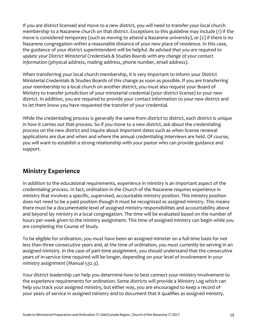If you are district licensed and move to a new district, you will need to transfer your local church membership to a Nazarene church on that district. Exceptions to this guideline may include (1) if the move is considered temporary (such as moving to attend a Nazarene university), or (2) if there is no Nazarene congregation within a reasonable distance of your new place of residence. In this case, the guidance of your district superintendent will be helpful. *Be advised that you are required to update your District Ministerial Credentials & Studies Boards with any change of your contact information* (physical address, mailing address, phone number, email address).

When transferring your local church membership, it is very important to inform your District Ministerial Credentials & Studies Boards of this change as soon as possible. If you are transferring your membership to a local church on another district, you must also request your Board of Ministry to transfer jurisdiction of your ministerial credential (your district license) to your new district. In addition, you are required to provide your contact information to your new district and to let them know you have requested the transfer of your credential.

While the credentialing process is generally the same from district to district, each district is unique in how it carries out that process. So if you move to a new district, ask about the credentialing process on the new district and inquire about important dates such as when license renewal applications are due and when and where the annual credentialing interviews are held. Of course, you will want to establish a strong relationship with your pastor who can provide guidance and support.

## **Ministry Experience**

In addition to the educational requirements, experience in ministry is an important aspect of the credentialing process. In fact, ordination in the Church of the Nazarene requires experience in ministry that involves a specific, supervised, accountable ministry position. This ministry position does not need to be a paid position though it must be recognized as *assigned ministry*. This means there must be a documentable level of assigned ministry responsibilities and accountability above and beyond lay ministry in a local congregation. The time will be evaluated based on the number of hours per week given to the ministry assignment. This time of assigned ministry can begin while you are completing the Course of Study.

To be eligible for ordination, you must have been an assigned minister on a full-time basis for not less than three consecutive years and, at the time of ordination, you must currently be serving in an assigned ministry. In the case of part-time assignment, you should understand that the consecutive years of in-service time required will be longer, depending on your level of involvement in your ministry assignment (Manual 532.3).

Your district leadership can help you determine how to best connect your ministry involvement to the experience requirements for ordination. Some districts will provide a Ministry Log which can help you track your assigned ministry, but either way, you are encouraged to keep a record of your years of service in assigned ministry and to document that it qualifies as assigned ministry.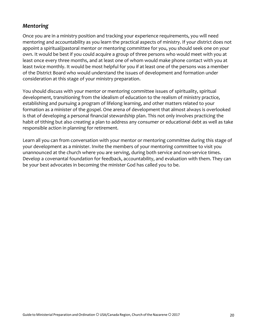### *Mentoring*

Once you are in a ministry position and tracking your experience requirements, you will need mentoring and accountability as you learn the practical aspects of ministry. If your district does not appoint a spiritual/pastoral mentor or mentoring committee for you, you should seek one on your own. It would be best if you could acquire a group of three persons who would meet with you at least once every three months, and at least one of whom would make phone contact with you at least twice monthly. It would be most helpful for you if at least one of the persons was a member of the District Board who would understand the issues of development and formation under consideration at this stage of your ministry preparation.

You should discuss with your mentor or mentoring committee issues of spirituality, spiritual development, transitioning from the idealism of education to the realism of ministry practice, establishing and pursuing a program of lifelong learning, and other matters related to your formation as a minister of the gospel. One arena of development that almost always is overlooked is that of developing a personal financial stewardship plan. This not only involves practicing the habit of tithing but also creating a plan to address any consumer or educational debt as well as take responsible action in planning for retirement.

Learn all you can from conversation with your mentor or mentoring committee during this stage of your development as a minister. Invite the members of your mentoring committee to visit you unannounced at the church where you are serving, during both service and non-service times. Develop a covenantal foundation for feedback, accountability, and evaluation with them. They can be your best advocates in becoming the minister God has called you to be.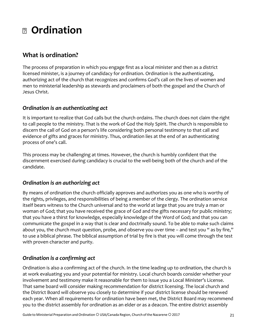## **Ordination**

## **What is ordination?**

The process of preparation in which you engage first as a local minister and then as a district licensed minister, is a journey of candidacy for ordination. Ordination is the authenticating, authorizing act of the church that recognizes and confirms God's call on the lives of women and men to ministerial leadership as stewards and proclaimers of both the gospel and the Church of Jesus Christ.

### *Ordination is an authenticating act*

It is important to realize that God calls but the church ordains. The church does not claim the right to call people to the ministry. That is the work of God the Holy Spirit. The church is responsible to discern the call of God on a person's life considering both personal testimony to that call and evidence of gifts and graces for ministry. Thus, ordination lies at the end of an authenticating process of one's call.

This process may be challenging at times. However, the church is humbly confident that the discernment exercised during candidacy is crucial to the well-being both of the church and of the candidate.

## *Ordination is an authorizing act*

By means of ordination the church officially approves and authorizes you as one who is worthy of the rights, privileges, and responsibilities of being a member of the clergy. The ordination service itself bears witness to the Church universal and to the world at large that you are truly a man or woman of God; that you have received the grace of God and the gifts necessary for public ministry; that you have a thirst for knowledge, especially knowledge of the Word of God; and that you can communicate the gospel in a way that is clear and doctrinally sound. To be able to make such claims about you, the church must question, probe, and observe you over time – and test you " as by fire," to use a biblical phrase. The biblical assumption of trial by fire is that you will come through the test with proven character and purity.

## *Ordination is a confirming act*

Ordination is also a confirming act of the church. In the time leading up to ordination, the church is at work evaluating you and your potential for ministry. Local church boards consider whether your involvement and testimony make it reasonable for them to issue you a Local Minister's License. That same board will consider making recommendation for district licensing. The local church and the District Board will observe you closely to determine if your district license should be renewed each year. When all requirements for ordination have been met, the District Board may recommend you to the district assembly for ordination as an elder or as a deacon. The entire district assembly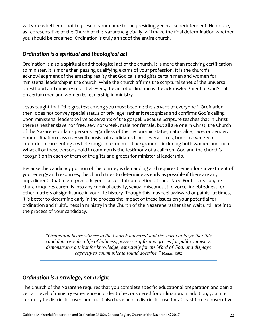will vote whether or not to present your name to the presiding general superintendent. He or she, as representative of the Church of the Nazarene globally, will make the final determination whether you should be ordained. Ordination is truly an act of the entire church.

### *Ordination is a spiritual and theological act*

Ordination is also a spiritual and theological act of the church. It is more than receiving certification to minister. It is more than passing qualifying exams of your profession. It is the church's acknowledgment of the amazing reality that God calls and gifts certain men and women for ministerial leadership in the church. While the church affirms the scriptural tenet of the universal priesthood and ministry of all believers, the act of ordination is the acknowledgment of God's call on certain men and women to leadership in ministry.

Jesus taught that "the greatest among you must become the servant of everyone." Ordination, then, does not convey special status or privilege; rather it recognizes and confirms God's calling upon ministerial leaders to live as servants of the gospel. Because Scripture teaches that in Christ there is neither slave nor free, Jew nor Greek, male nor female, but all are one in Christ, the Church of the Nazarene ordains persons regardless of their economic status, nationality, race, or gender. Your ordination class may well consist of candidates from several races, born in a variety of countries, representing a whole range of economic backgrounds, including both women and men. What all of these persons hold in common is the testimony of a call from God and the church's recognition in each of them of the gifts and graces for ministerial leadership.

Because the candidacy portion of the journey is demanding and requires tremendous investment of your energy and resources, the church tries to determine as early as possible if there are any impediments that might preclude your successful completion of candidacy. For this reason, he church inquires carefully into any criminal activity, sexual misconduct, divorce, indebtedness, or other matters of significance in your life history. Though this may feel awkward or painful at times, it is better to determine early in the process the impact of these issues on your potential for ordination and fruitfulness in ministry in the Church of the Nazarene rather than wait until late into the process of your candidacy.

> *"Ordination bears witness to the Church universal and the world at large that this candidate reveals a life of holiness, possesses gifts and graces for public ministry, demonstrates a thirst for knowledge, especially for the Word of God, and displays capacity to communicate sound doctrine."* Manual ¶502

## *Ordination is a privilege, not a right*

The Church of the Nazarene requires that you complete specific educational preparation and gain a certain level of ministry experience in order to be considered for ordination. In addition, you must currently be district licensed and must also have held a district license for at least three consecutive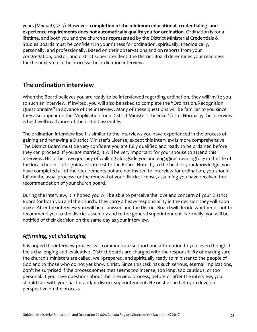years (*Manual* 532.3). However, **completion of the minimum educational, credentialing, and experience requirements does not automatically qualify you for ordination**. Ordination is for a lifetime, and both you and the church as represented by the District Ministerial Credentials & Studies Boards must be confident in your fitness for ordination, spiritually, theologically, personally, and professionally. Based on their observations and on reports from your congregation, pastor, and district superintendent, the District Board determines your readiness for the next step in the process: the ordination interview.

## **The ordination interview**

When the Board believes you are ready to be interviewed regarding ordination, they will invite you to such an interview. If invited, you will also be asked to complete the "Ordination/Recognition Questionnaire" in advance of the interview. Many of these questions will be familiar to you since they also appear on the "Application for a District Minister's License" form. Normally, the interview is held well in advance of the district assembly.

The ordination interview itself is similar to the interviews you have experienced in the process of gaining and renewing a District Minister's License, except this interview is more comprehensive. The District Board must be very confident you are fully qualified and ready to be ordained before they can proceed. If you are married, it will be very important for your spouse to attend this interview. His or her own journey of walking alongside you and engaging meaningfully in the life of the local church is of significant interest to the Board. Note: If, to the best of your knowledge, you have completed all of the requirements but are not invited to interview for ordination, you should follow the usual process for the renewal of your district license, assuming you have received the recommendation of your church board.

During the interview, it is hoped you will be able to perceive the love and concern of your District Board for both you and the church. They carry a heavy responsibility in the decision they will soon make. After the interview you will be dismissed and the District Board will decide whether or not to recommend you to the district assembly and to the general superintendent. Normally, you will be notified of their decision on the same day as your interview.

## *Affirming, yet challenging*

It is hoped this interview process will communicate support and affirmation to you, even though it feels challenging and evaluative. District boards are charged with the responsibility of making sure the church's ministers are called, well-prepared, and spiritually ready to minister to the people of God and to those who do not yet know Christ. Since this task has such serious, eternal implications, don't be surprised if the process sometimes seems too intense, too long, too cautious, or too personal. If you have questions about the interview process, before or after the interview, you should talk with your pastor and/or district superintendent. He or she can help you develop perspective on the process.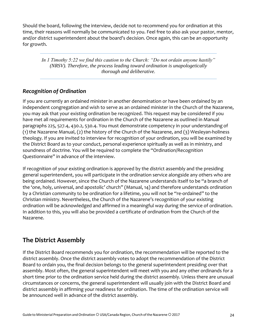Should the board, following the interview, decide not to recommend you for ordination at this time, their reasons will normally be communicated to you. Feel free to also ask your pastor, mentor, and/or district superintendent about the board's decision. Once again, this can be an opportunity for growth.

*In 1 Timothy 5:22 we find this caution to the Church: "Do not ordain anyone hastily" (NRSV). Therefore, the process leading toward ordination is unapologetically thorough and deliberative.*

### *Recognition of Ordination*

If you are currently an ordained minister in another denomination or have been ordained by an independent congregation and wish to serve as an ordained minister in the Church of the Nazarene, you may ask that your existing ordination be recognized. This request may be considered if you have met all requirements for ordination in the Church of the Nazarene as outlined in Manual paragraphs 225, 527.4, 430.2, 530.4. You must demonstrate competency in your understanding of (1) the Nazarene Manual, (2) the history of the Church of the Nazarene, and (3) Wesleyan-holiness theology. If you are invited to interview for recognition of your ordination, you will be examined by the District Board as to your conduct, personal experience spiritually as well as in ministry, and soundness of doctrine. You will be required to complete the "Ordination/Recognition Questionnaire" in advance of the interview.

If recognition of your existing ordination is approved by the district assembly and the presiding general superintendent, you will participate in the ordination service alongside any others who are being ordained. However, since the Church of the Nazarene understands itself to be "a branch of the 'one, holy, universal, and apostolic' church" (Manual, 14) and therefore understands ordination by a Christian community to be ordination for a lifetime, you will not be "re-ordained" to the Christian ministry. Nevertheless, the Church of the Nazarene's recognition of your existing ordination will be acknowledged and affirmed in a meaningful way during the service of ordination. In addition to this, you will also be provided a certificate of ordination from the Church of the Nazarene.

## **The District Assembly**

If the District Board recommends you for ordination, the recommendation will be reported to the district assembly. Once the district assembly votes to adopt the recommendation of the District Board to ordain you, the final decision belongs to the general superintendent presiding over that assembly. Most often, the general superintendent will meet with you and any other ordinands for a short time prior to the ordination service held during the district assembly. Unless there are unusual circumstances or concerns, the general superintendent will usually join with the District Board and district assembly in affirming your readiness for ordination. The time of the ordination service will be announced well in advance of the district assembly.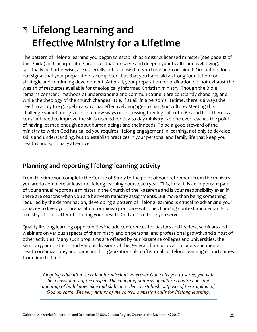## **Lifelong Learning and Effective Ministry for a Lifetime**

The pattern of lifelong learning you began to establish as a district licensed minister (see page 12 of this guide) and incorporating practices that preserve and deepen your health and well-being, spiritually and otherwise, are especially critical now that you have been ordained. Ordination does not signal that your preparation is completed, but that you have laid a strong foundation for strategic and continuing development. After all, your preparation for ordination did not exhaust the wealth of resources available for theologically informed Christian ministry. Though the Bible remains constant, methods of understanding and communicating it are constantly changing; and while the theology of the church changes little, if at all, in a person's lifetime, there is always the need to apply the gospel in a way that effectively engages a changing culture. Meeting this challenge sometimes gives rise to new ways of expressing theological truth. Beyond this, there is a constant need to improve the skills needed for day-to-day ministry. No one ever reaches the point of having learned enough about human beings and their needs! To be a good steward of the ministry to which God has called you requires lifelong engagement in learning, not only to develop skills and understanding, but to establish practices in your personal and family life that keep you healthy and spiritually attentive.

## **Planning and reporting lifelong learning activity**

From the time you complete the Course of Study to the point of your retirement from the ministry, you are to complete at least 20 lifelong learning hours each year. This, in fact, is an important part of your annual report as a minister in the Church of the Nazarene and is your responsibility even if there are seasons when you are between ministry assignments. But more than being something required by the denomination, developing a pattern of lifelong learning is critical to advancing your capacity to keep your preparation for ministry on pace with the changing context and demands of ministry. It is a matter of offering your best to God and to those you serve.

Quality lifelong learning opportunities include conferences for pastors and leaders, seminars and webinars on various aspects of the ministry and on personal and professional growth, and a host of other activities. Many such programs are offered by our Nazarene colleges and universities, the seminary, our districts, and various divisions of the general church. Local hospitals and mental health organizations, and parachurch organizations also offer quality lifelong learning opportunities from time to time.

*Ongoing education is critical for mission! Wherever God calls you to serve, you will be a missionary of the gospel. The changing patterns of culture require constant updating of both knowledge and skills in order to establish outposts of the kingdom of God on earth. The very nature of the church's mission calls for lifelong learning.*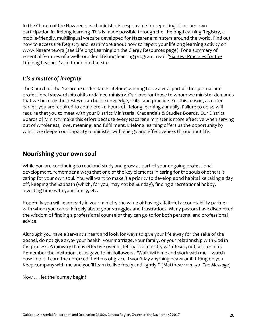In the Church of the Nazarene, each minister is responsible for reporting his or her own participation in lifelong learning. This is made possible through the [Lifelong Learning Registry,](http://learning.nazarene.org/) a mobile-friendly, multilingual website developed for Nazarene ministers around the world. Find out how to access the Registry and learn more about how to report your lifelong learning activity on [www.Nazarene.org \(](http://www.nazarene.org/)see Lifelong Learning on the [Clergy Resources p](http://www.nazarene.org/resources/clergy)age). For a summary of essential features of a well-rounded lifelong learning program, read "[Six Best Practices for the](http://www.nazarene.org/sites/default/files/docs/Clergy/CR-6BestPractices-English.pdf) [Lifelong Learner](http://www.nazarene.org/sites/default/files/docs/Clergy/CR-6BestPractices-English.pdf)" also found on that site.

## *It's a matter of integrity*

The Church of the Nazarene understands lifelong learning to be a vital part of the spiritual and professional stewardship of its ordained ministry. Our love for those to whom we minister demands that we become the best we can be in knowledge, skills, and practice. For this reason, as noted earlier, you are required to complete 20 hours of lifelong learning annually. Failure to do so will require that you to meet with your District Ministerial Credentials & Studies Boards. Our District Boards of Ministry make this effort because every Nazarene minister is more effective when serving out of wholeness, love, meaning, and fulfillment. Lifelong learning offers us the opportunity by which we deepen our capacity to minister with energy and effectiveness throughout life.

## **Nourishing your own soul**

While you are continuing to read and study and grow as part of your ongoing professional development, remember always that one of the key elements in caring for the souls of others is caring for your own soul. You will want to make it a priority to develop good habits like taking a day off, keeping the Sabbath (which, for you, may *not* be Sunday), finding a recreational hobby, investing time with your family, etc.

Hopefully you will learn early in your ministry the value of having a faithful accountability partner with whom you can talk freely about your struggles and frustrations. Many pastors have discovered the wisdom of finding a professional counselor they can go to for both personal and professional advice.

Although you have a servant's heart and look for ways to give your life away for the sake of the gospel, do not give away your health, your marriage, your family, or your relationship with God in the process. A ministry that is effective over a lifetime is a ministry *with* Jesus, not just *for* him. Remember the invitation Jesus gave to his followers: "Walk with me and work with me—watch how I do it. Learn the unforced rhythms of grace. I won't lay anything heavy or ill-fitting on you. Keep company with me and you'll learn to live freely and lightly." (Matthew 11:29-30, *The Message*)

Now . . . let the journey begin!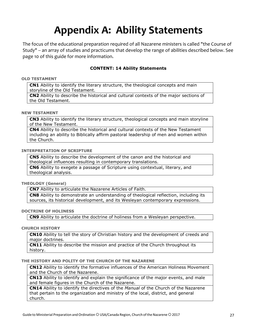## **Appendix A: Ability Statements**

The focus of the educational preparation required of all Nazarene ministers is called "the Course of Study" -- an array of studies and practicums that develop the range of abilities described below. See page 10 of this guide for more information.

### **CONTENT: 14 Ability Statements**

### **OLD TESTAMENT**

**CN1** Ability to identify the literary structure, the theological concepts and main storyline of the Old Testament.

**CN2** Ability to describe the historical and cultural contexts of the major sections of the Old Testament.

### **NEW TESTAMENT**

**CN3** Ability to identify the literary structure, theological concepts and main storyline of the New Testament.

**CN4** Ability to describe the historical and cultural contexts of the New Testament including an ability to Biblically affirm pastoral leadership of men and women within the Church.

### **INTERPRETATION OF SCRIPTURE**

**CN5** Ability to describe the development of the canon and the historical and theological influences resulting in contemporary translations.

**CN6** Ability to exegete a passage of Scripture using contextual, literary, and theological analysis.

### **THEOLOGY (General)**

**CN7** Ability to articulate the Nazarene Articles of Faith.

**CN8** Ability to demonstrate an understanding of theological reflection, including its sources, its historical development, and its Wesleyan contemporary expressions.

### **DOCTRINE OF HOLINESS**

**CN9** Ability to articulate the doctrine of holiness from a Wesleyan perspective.

### **CHURCH HISTORY**

**CN10** Ability to tell the story of Christian history and the development of creeds and major doctrines.

**CN11** Ability to describe the mission and practice of the Church throughout its history.

### **THE HISTORY AND POLITY OF THE CHURCH OF THE NAZARENE**

**CN12** Ability to identify the formative influences of the American Holiness Movement and the Church of the Nazarene.

**CN13** Ability to identify and explain the significance of the major events, and male and female figures in the Church of the Nazarene.

**CN14** Ability to identify the directives of the *Manual* of the Church of the Nazarene that pertain to the organization and ministry of the local, district, and general church.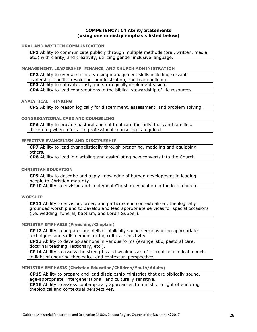### **COMPETENCY: 14 Ability Statements (using one ministry emphasis listed below)**

### **ORAL AND WRITTEN COMMUNICATION**

**CP1** Ability to communicate publicly through multiple methods (oral, written, media, etc.) with clarity, and creativity, utilizing gender inclusive language.

#### **MANAGEMENT, LEADERSHIP, FINANCE, AND CHURCH ADMINISTRATION**

**CP2** Ability to oversee ministry using management skills including servant leadership, conflict resolution, administration, and team building. **CP3** Ability to cultivate, cast, and strategically implement vision. **CP4** Ability to lead congregations in the biblical stewardship of life resources.

### **ANALYTICAL THINKING**

**CP5** Ability to reason logically for discernment, assessment, and problem solving.

### **CONGREGATIONAL CARE AND COUNSELING**

**CP6** Ability to provide pastoral and spiritual care for individuals and families, discerning when referral to professional counseling is required.

### **EFFECTIVE EVANGELISM AND DISCIPLESHIP**

**CP7** Ability to lead evangelistically through preaching, modeling and equipping others.

**CP8** Ability to lead in discipling and assimilating new converts into the Church.

### **CHRISTIAN EDUCATION**

**CP9** Ability to describe and apply knowledge of human development in leading people to Christian maturity.

**CP10** Ability to envision and implement Christian education in the local church.

### **WORSHIP**

**CP11** Ability to envision, order, and participate in contextualized, theologically grounded worship and to develop and lead appropriate services for special occasions (i.e. wedding, funeral, baptism, and Lord's Supper).

### **MINISTRY EMPHASIS (Preaching/Chaplain)**

**CP12** Ability to prepare, and deliver biblically sound sermons using appropriate techniques and skills demonstrating cultural sensitivity.

**CP13** Ability to develop sermons in various forms (evangelistic, pastoral care, doctrinal teaching, lectionary, etc.).

**CP14** Ability to assess the strengths and weaknesses of current homiletical models in light of enduring theological and contextual perspectives.

### **MINISTRY EMPHASIS (Christian Education/Children/Youth/Adults)**

**CP15** Ability to prepare and lead discipleship ministries that are biblically sound, age-appropriate, intergenerational, and culturally sensitive.

**CP16** Ability to assess contemporary approaches to ministry in light of enduring theological and contextual perspectives.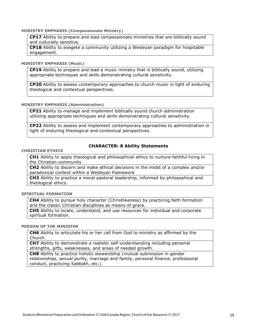### **MINISTRY EMPHASIS (Compassionate Ministry)**

**CP17** Ability to prepare and lead compassionate ministries that are biblically sound and culturally sensitive.

**CP18** Ability to exegete a community utilizing a Wesleyan paradigm for hospitable engagement.

#### **MINISTRY EMPHASIS (Music)**

**CP19** Ability to prepare and lead a music ministry that is biblically sound, utilizing appropriate techniques and skills demonstrating cultural sensitivity.

**CP20** Ability to assess contemporary approaches to church music in light of enduring theological and contextual perspectives.

#### **MINISTRY EMPHASIS (Administration)**

**CP21** Ability to manage and implement biblically sound church administration utilizing appropriate techniques and skills demonstrating cultural sensitivity.

**CP22** Ability to assess and implement contemporary approaches to administration in light of enduring theological and contextual perspectives.

#### **CHRISTIAN ETHICS**

### **CHARACTER: 8 Ability Statements**

**CH1** Ability to apply theological and philosophical ethics to nurture faithful living in the Christian community.

**CH2** Ability to discern and make ethical decisions in the midst of a complex and/or paradoxical context within a Wesleyan framework

**CH3** Ability to practice a moral pastoral leadership, informed by philosophical and theological ethics.

**SPIRITUAL FORMATION**

**CH4** Ability to pursue holy character (Christlikeness) by practicing faith formation and the classic Christian disciplines as means of grace.

**CH5** Ability to locate, understand, and use resources for individual and corporate spiritual formation.

### **PERSON OF THE MINISTER**

**CH6** Ability to articulate his or her call from God to ministry as affirmed by the Church.

**CH7** Ability to demonstrate a realistic self-understanding including personal strengths, gifts, weaknesses, and areas of needed growth.

**CH8** Ability to practice holistic stewardship (mutual submission in gender relationships, sexual purity, marriage and family, personal finance, professional conduct, practicing Sabbath, etc.).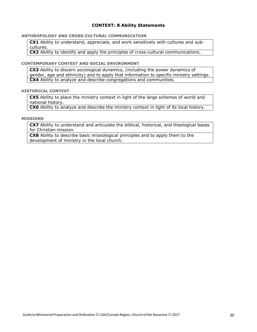### **CONTEXT: 8 Ability Statements**

### **ANTHROPOLOGY AND CROSS-CULTURAL COMMUNICATION**

**CX1** Ability to understand, appreciate, and work sensitively with cultures and subcultures.

**CX2** Ability to identify and apply the principles of cross-cultural communications.

### **CONTEMPORARY CONTEXT AND SOCIAL ENVIRONMENT**

**CX3** Ability to discern sociological dynamics, (including the power dynamics of gender, age and ethnicity) and to apply that information to specific ministry settings. **CX4** Ability to analyze and describe congregations and communities.

### **HISTORICAL CONTEXT**

**CX5** Ability to place the ministry context in light of the large schemes of world and national history.

**CX6** Ability to analyze and describe the ministry context in light of its local history.

### **MISSIONS**

**CX7** Ability to understand and articulate the biblical, historical, and theological bases for Christian mission.

**CX8** Ability to describe basic missiological principles and to apply them to the development of ministry in the local church.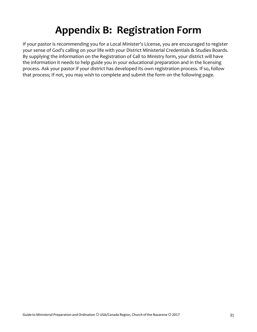## **Appendix B: Registration Form**

If your pastor is recommending you for a Local Minister's License, you are encouraged to register your sense of God's calling on your life with your District Ministerial Credentials & Studies Boards. By supplying the information on the Registration of Call to Ministry form, your district will have the information it needs to help guide you in your educational preparation and in the licensing process. Ask your pastor if your district has developed its own registration process. If so, follow that process; If not, you may wish to complete and submit the form on the following page.